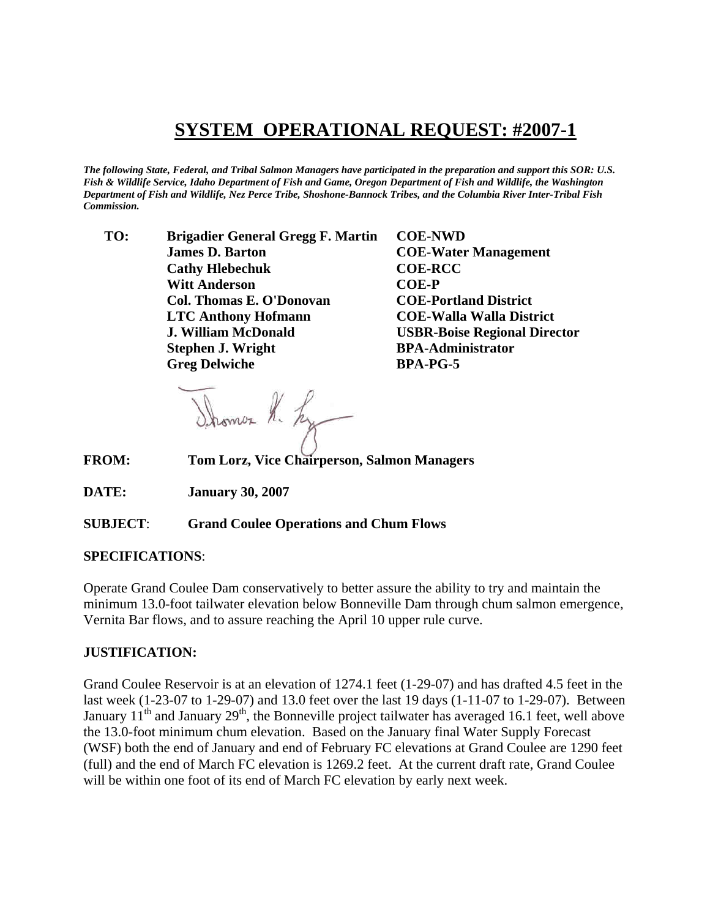## **SYSTEM OPERATIONAL REQUEST: #2007-1**

*The following State, Federal, and Tribal Salmon Managers have participated in the preparation and support this SOR: U.S. Fish & Wildlife Service, Idaho Department of Fish and Game, Oregon Department of Fish and Wildlife, the Washington Department of Fish and Wildlife, Nez Perce Tribe, Shoshone-Bannock Tribes, and the Columbia River Inter-Tribal Fish Commission.* 

 **TO: Brigadier General Gregg F. Martin COE-NWD James D. Barton COE-Water Management Cathy Hlebechuk COE-RCC Witt Anderson COE-P Col. Thomas E. O'Donovan COE-Portland District LTC Anthony Hofmann COE-Walla Walla District J. William McDonald USBR-Boise Regional Director Stephen J. Wright BPA-Administrator Greg Delwiche BPA-PG-5** 

Shomes R. Ly

**FROM: Tom Lorz, Vice Chairperson, Salmon Managers** 

**DATE: January 30, 2007** 

**SUBJECT**: **Grand Coulee Operations and Chum Flows**

## **SPECIFICATIONS**:

Operate Grand Coulee Dam conservatively to better assure the ability to try and maintain the minimum 13.0-foot tailwater elevation below Bonneville Dam through chum salmon emergence, Vernita Bar flows, and to assure reaching the April 10 upper rule curve.

## **JUSTIFICATION:**

Grand Coulee Reservoir is at an elevation of 1274.1 feet (1-29-07) and has drafted 4.5 feet in the last week (1-23-07 to 1-29-07) and 13.0 feet over the last 19 days (1-11-07 to 1-29-07). Between January  $11<sup>th</sup>$  and January  $29<sup>th</sup>$ , the Bonneville project tailwater has averaged 16.1 feet, well above the 13.0-foot minimum chum elevation. Based on the January final Water Supply Forecast (WSF) both the end of January and end of February FC elevations at Grand Coulee are 1290 feet (full) and the end of March FC elevation is 1269.2 feet. At the current draft rate, Grand Coulee will be within one foot of its end of March FC elevation by early next week.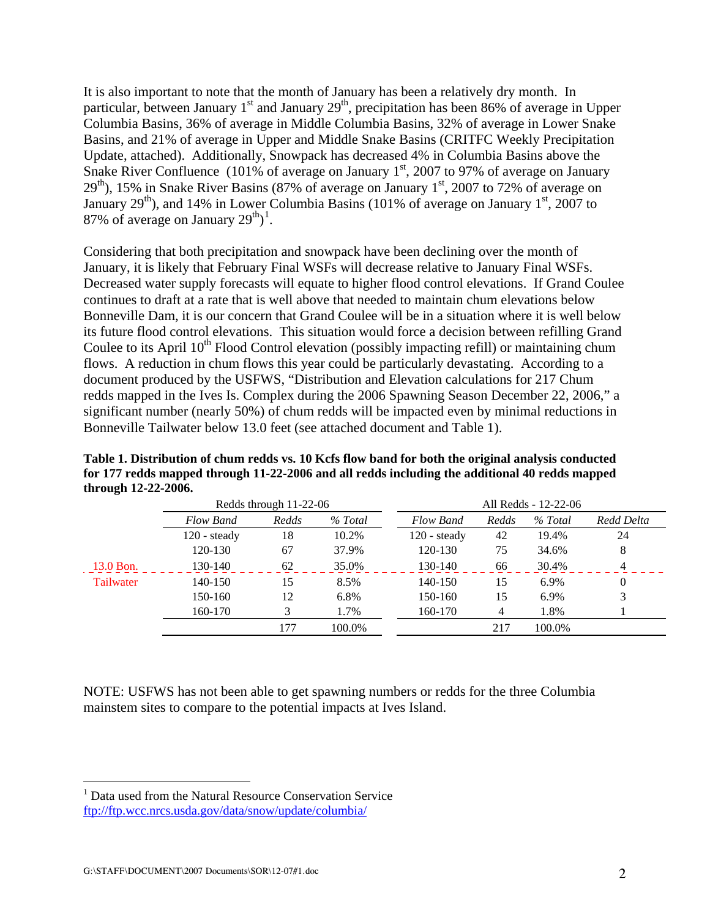It is also important to note that the month of January has been a relatively dry month. In particular, between January 1<sup>st</sup> and January 29<sup>th</sup>, precipitation has been 86% of average in Upper Columbia Basins, 36% of average in Middle Columbia Basins, 32% of average in Lower Snake Basins, and 21% of average in Upper and Middle Snake Basins (CRITFC Weekly Precipitation Update, attached). Additionally, Snowpack has decreased 4% in Columbia Basins above the Snake River Confluence (101% of average on January  $1<sup>st</sup>$ , 2007 to 97% of average on January  $29<sup>th</sup>$ ), 15% in Snake River Basins (87% of average on January 1<sup>st</sup>, 2007 to 72% of average on January  $29<sup>th</sup>$ ), and 14% in Lower Columbia Basins (101% of average on January 1<sup>st</sup>, 2007 to 87% of average on January  $29^{\text{th}}$ <sup>[1](#page-1-0)</sup>.

Considering that both precipitation and snowpack have been declining over the month of January, it is likely that February Final WSFs will decrease relative to January Final WSFs. Decreased water supply forecasts will equate to higher flood control elevations. If Grand Coulee continues to draft at a rate that is well above that needed to maintain chum elevations below Bonneville Dam, it is our concern that Grand Coulee will be in a situation where it is well below its future flood control elevations. This situation would force a decision between refilling Grand Coulee to its April  $10<sup>th</sup>$  Flood Control elevation (possibly impacting refill) or maintaining chum flows. A reduction in chum flows this year could be particularly devastating. According to a document produced by the USFWS, "Distribution and Elevation calculations for 217 Chum redds mapped in the Ives Is. Complex during the 2006 Spawning Season December 22, 2006," a significant number (nearly 50%) of chum redds will be impacted even by minimal reductions in Bonneville Tailwater below 13.0 feet (see attached document and Table 1).

|           | Redds through $11-22-06$ |       |         | All Redds - 12-22-06  |       |         |            |
|-----------|--------------------------|-------|---------|-----------------------|-------|---------|------------|
|           | <b>Flow Band</b>         | Redds | % Total | <b>Flow Band</b>      | Redds | % Total | Redd Delta |
|           | $120 - \text{steady}$    | 18    | 10.2%   | $120 - \text{steady}$ | 42    | 19.4%   | 24         |
|           | 120-130                  | 67    | 37.9%   | 120-130               | 75    | 34.6%   | 8          |
| 13.0 Bon. | 130-140                  | 62    | 35.0%   | 130-140               | 66    | 30.4%   | $\Lambda$  |
| Tailwater | 140-150                  | 15    | 8.5%    | 140-150               | 15    | 6.9%    | 0          |
|           | 150-160                  | 12    | 6.8%    | 150-160               | 15    | 6.9%    | 3          |
|           | 160-170                  |       | 1.7%    | 160-170               | 4     | 1.8%    |            |
|           |                          | 177   | 100.0%  |                       | 217   | 100.0%  |            |

**Table 1. Distribution of chum redds vs. 10 Kcfs flow band for both the original analysis conducted for 177 redds mapped through 11-22-2006 and all redds including the additional 40 redds mapped through 12-22-2006.** 

NOTE: USFWS has not been able to get spawning numbers or redds for the three Columbia mainstem sites to compare to the potential impacts at Ives Island.

l

<span id="page-1-0"></span><sup>&</sup>lt;sup>1</sup> Data used from the Natural Resource Conservation Service ftp://ftp.wcc.nrcs.usda.gov/data/snow/update/columbia/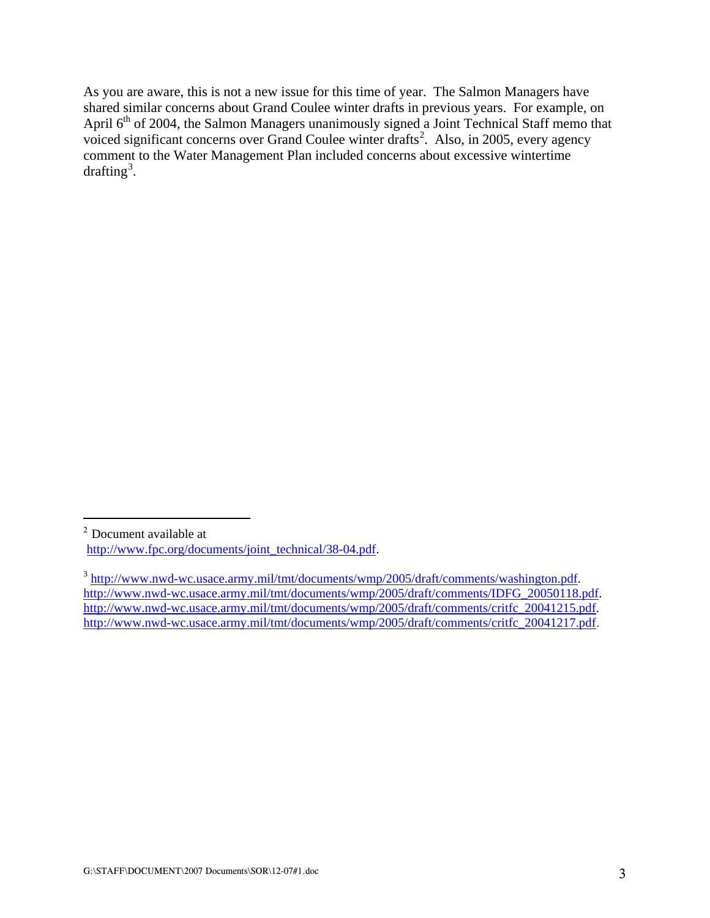As you are aware, this is not a new issue for this time of year. The Salmon Managers have shared similar concerns about Grand Coulee winter drafts in previous years. For example, on April 6<sup>th</sup> of 2004, the Salmon Managers unanimously signed a Joint Technical Staff memo that voiced significant concerns over Grand Coulee winter drafts<sup>[2](#page-2-0)</sup>. Also, in 2005, every agency comment to the Water Management Plan included concerns about excessive wintertime drafting<sup>[3](#page-2-1)</sup>.

l

<span id="page-2-0"></span><sup>2</sup> Document available at http://www.fpc.org/documents/joint\_technical/38-04.pdf.

<span id="page-2-1"></span><sup>3</sup> http://www.nwd-wc.usace.army.mil/tmt/documents/wmp/2005/draft/comments/washington.pdf. http://www.nwd-wc.usace.army.mil/tmt/documents/wmp/2005/draft/comments/IDFG\_20050118.pdf. http://www.nwd-wc.usace.army.mil/tmt/documents/wmp/2005/draft/comments/critfc\_20041215.pdf. http://www.nwd-wc.usace.army.mil/tmt/documents/wmp/2005/draft/comments/critfc\_20041217.pdf.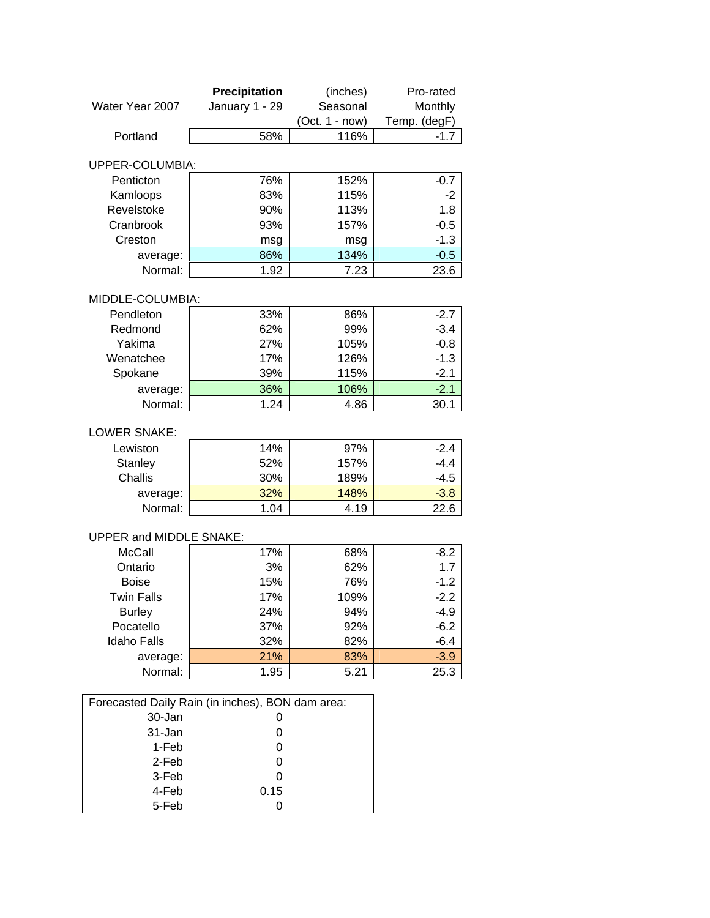|                                                  | Precipitation  | (inches)         | Pro-rated    |
|--------------------------------------------------|----------------|------------------|--------------|
| Water Year 2007                                  | January 1 - 29 | Seasonal         | Monthly      |
|                                                  |                | $(Oct. 1 - now)$ | Temp. (degF) |
| Portland                                         | 58%            | 116%             | $-1.7$       |
| UPPER-COLUMBIA:                                  |                |                  |              |
| Penticton                                        | 76%            | 152%             | $-0.7$       |
| Kamloops                                         | 83%            | 115%             | -2           |
| Revelstoke                                       | 90%            | 113%             | 1.8          |
| Cranbrook                                        | 93%            | 157%             | $-0.5$       |
| Creston                                          | msg            | msg              | $-1.3$       |
| average:                                         | 86%            | 134%             | $-0.5$       |
| Normal:                                          | 1.92           | 7.23             | 23.6         |
|                                                  |                |                  |              |
| MIDDLE-COLUMBIA:                                 |                |                  |              |
| Pendleton                                        | 33%            | 86%              | $-2.7$       |
| Redmond                                          | 62%            | 99%              | $-3.4$       |
| Yakima                                           | 27%            | 105%             | $-0.8$       |
| Wenatchee                                        | 17%            | 126%             | $-1.3$       |
| Spokane                                          | 39%            | 115%             | $-2.1$       |
| average:                                         | 36%            | 106%             | $-2.1$       |
| Normal:                                          | 1.24           | 4.86             | 30.1         |
| <b>LOWER SNAKE:</b>                              |                |                  |              |
| Lewiston                                         | 14%            | 97%              | $-2.4$       |
| <b>Stanley</b>                                   | 52%            | 157%             | $-4.4$       |
| Challis                                          | 30%            | 189%             | $-4.5$       |
| average:                                         | 32%            | 148%             | $-3.8$       |
| Normal:                                          | 1.04           | 4.19             | 22.6         |
|                                                  |                |                  |              |
| <b>UPPER and MIDDLE SNAKE:</b>                   |                |                  |              |
| <b>McCall</b>                                    | 17%            | 68%              | $-8.2$       |
| Ontario                                          | 3%             | 62%              | 1.7          |
| <b>Boise</b>                                     | 15%            | 76%              | $-1.2$       |
| <b>Twin Falls</b>                                | 17%            | 109%             | $-2.2$       |
| <b>Burley</b>                                    | 24%            | 94%              | $-4.9$       |
| Pocatello                                        | 37%            | 92%              | $-6.2$       |
| <b>Idaho Falls</b>                               | 32%            | 82%              | $-6.4$       |
| average:                                         | 21%            | 83%              | $-3.9$       |
| Normal:                                          | 1.95           | 5.21             | 25.3         |
|                                                  |                |                  |              |
| Forecasted Daily Rain (in inches), BON dam area: |                |                  |              |
| 30-Jan<br>31-Jan                                 | 0              |                  |              |
| 1-Feb                                            | 0<br>0         |                  |              |
| 2-Feb                                            | O              |                  |              |
| 3-Feb                                            | 0              |                  |              |
| 4-Feb                                            | 0.15           |                  |              |
| 5-Feb                                            | 0              |                  |              |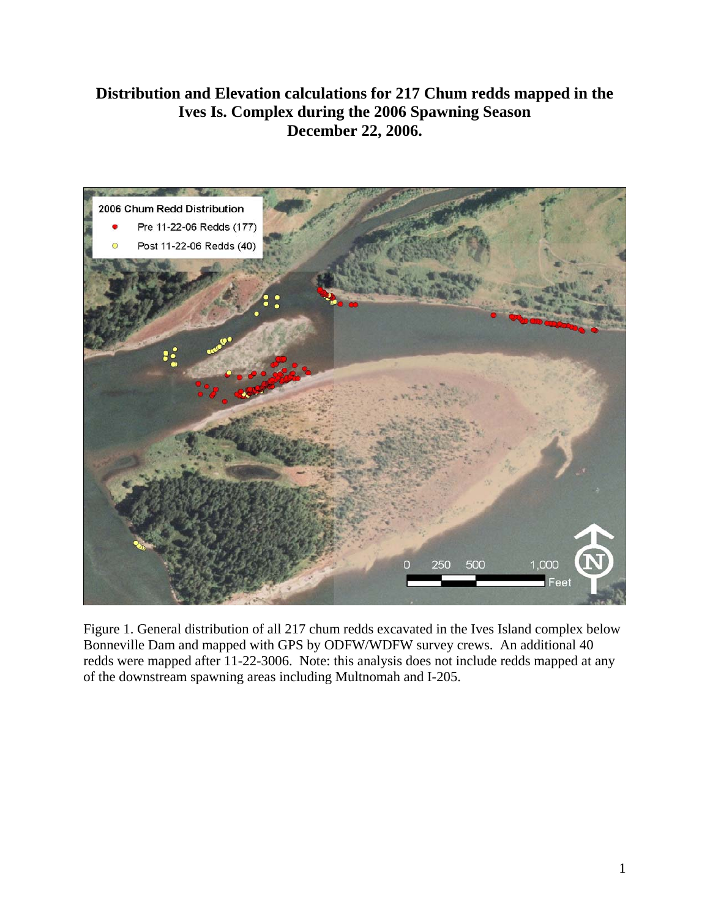## **Distribution and Elevation calculations for 217 Chum redds mapped in the Ives Is. Complex during the 2006 Spawning Season December 22, 2006.**



Figure 1. General distribution of all 217 chum redds excavated in the Ives Island complex below Bonneville Dam and mapped with GPS by ODFW/WDFW survey crews. An additional 40 redds were mapped after 11-22-3006. Note: this analysis does not include redds mapped at any of the downstream spawning areas including Multnomah and I-205.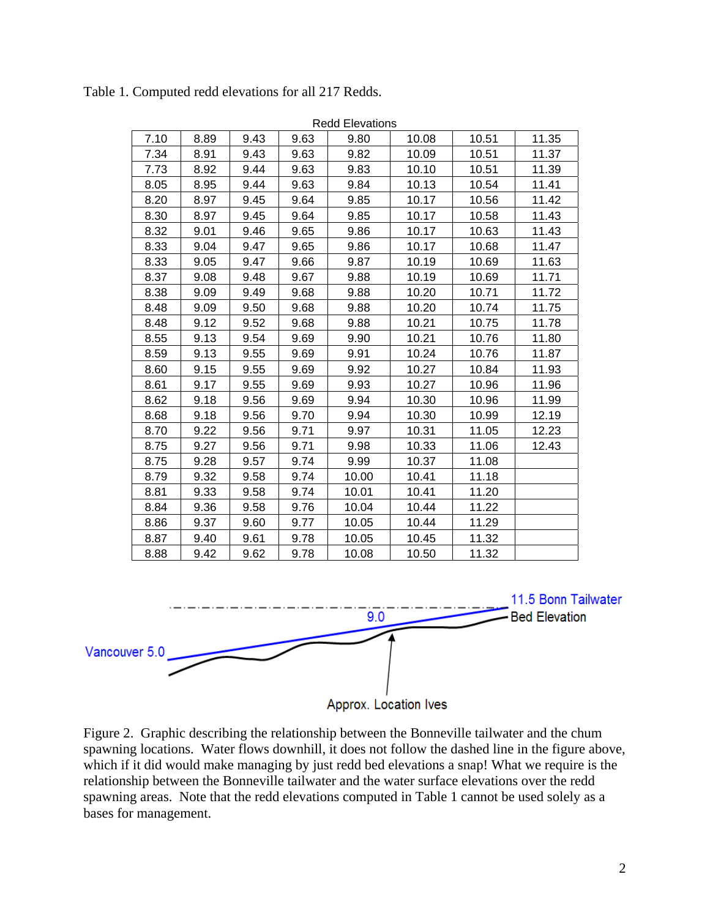|      |      |      |      | <b>Redd Elevations</b> |       |       |       |
|------|------|------|------|------------------------|-------|-------|-------|
| 7.10 | 8.89 | 9.43 | 9.63 | 9.80                   | 10.08 | 10.51 | 11.35 |
| 7.34 | 8.91 | 9.43 | 9.63 | 9.82                   | 10.09 | 10.51 | 11.37 |
| 7.73 | 8.92 | 9.44 | 9.63 | 9.83                   | 10.10 | 10.51 | 11.39 |
| 8.05 | 8.95 | 9.44 | 9.63 | 9.84                   | 10.13 | 10.54 | 11.41 |
| 8.20 | 8.97 | 9.45 | 9.64 | 9.85                   | 10.17 | 10.56 | 11.42 |
| 8.30 | 8.97 | 9.45 | 9.64 | 9.85                   | 10.17 | 10.58 | 11.43 |
| 8.32 | 9.01 | 9.46 | 9.65 | 9.86                   | 10.17 | 10.63 | 11.43 |
| 8.33 | 9.04 | 9.47 | 9.65 | 9.86                   | 10.17 | 10.68 | 11.47 |
| 8.33 | 9.05 | 9.47 | 9.66 | 9.87                   | 10.19 | 10.69 | 11.63 |
| 8.37 | 9.08 | 9.48 | 9.67 | 9.88                   | 10.19 | 10.69 | 11.71 |
| 8.38 | 9.09 | 9.49 | 9.68 | 9.88                   | 10.20 | 10.71 | 11.72 |
| 8.48 | 9.09 | 9.50 | 9.68 | 9.88                   | 10.20 | 10.74 | 11.75 |
| 8.48 | 9.12 | 9.52 | 9.68 | 9.88                   | 10.21 | 10.75 | 11.78 |
| 8.55 | 9.13 | 9.54 | 9.69 | 9.90                   | 10.21 | 10.76 | 11.80 |
| 8.59 | 9.13 | 9.55 | 9.69 | 9.91                   | 10.24 | 10.76 | 11.87 |
| 8.60 | 9.15 | 9.55 | 9.69 | 9.92                   | 10.27 | 10.84 | 11.93 |
| 8.61 | 9.17 | 9.55 | 9.69 | 9.93                   | 10.27 | 10.96 | 11.96 |
| 8.62 | 9.18 | 9.56 | 9.69 | 9.94                   | 10.30 | 10.96 | 11.99 |
| 8.68 | 9.18 | 9.56 | 9.70 | 9.94                   | 10.30 | 10.99 | 12.19 |
| 8.70 | 9.22 | 9.56 | 9.71 | 9.97                   | 10.31 | 11.05 | 12.23 |
| 8.75 | 9.27 | 9.56 | 9.71 | 9.98                   | 10.33 | 11.06 | 12.43 |
| 8.75 | 9.28 | 9.57 | 9.74 | 9.99                   | 10.37 | 11.08 |       |
| 8.79 | 9.32 | 9.58 | 9.74 | 10.00                  | 10.41 | 11.18 |       |
| 8.81 | 9.33 | 9.58 | 9.74 | 10.01                  | 10.41 | 11.20 |       |
| 8.84 | 9.36 | 9.58 | 9.76 | 10.04                  | 10.44 | 11.22 |       |
| 8.86 | 9.37 | 9.60 | 9.77 | 10.05                  | 10.44 | 11.29 |       |
| 8.87 | 9.40 | 9.61 | 9.78 | 10.05                  | 10.45 | 11.32 |       |
| 8.88 | 9.42 | 9.62 | 9.78 | 10.08                  | 10.50 | 11.32 |       |

Table 1. Computed redd elevations for all 217 Redds.



Figure 2. Graphic describing the relationship between the Bonneville tailwater and the chum spawning locations. Water flows downhill, it does not follow the dashed line in the figure above, which if it did would make managing by just redd bed elevations a snap! What we require is the relationship between the Bonneville tailwater and the water surface elevations over the redd spawning areas. Note that the redd elevations computed in Table 1 cannot be used solely as a bases for management.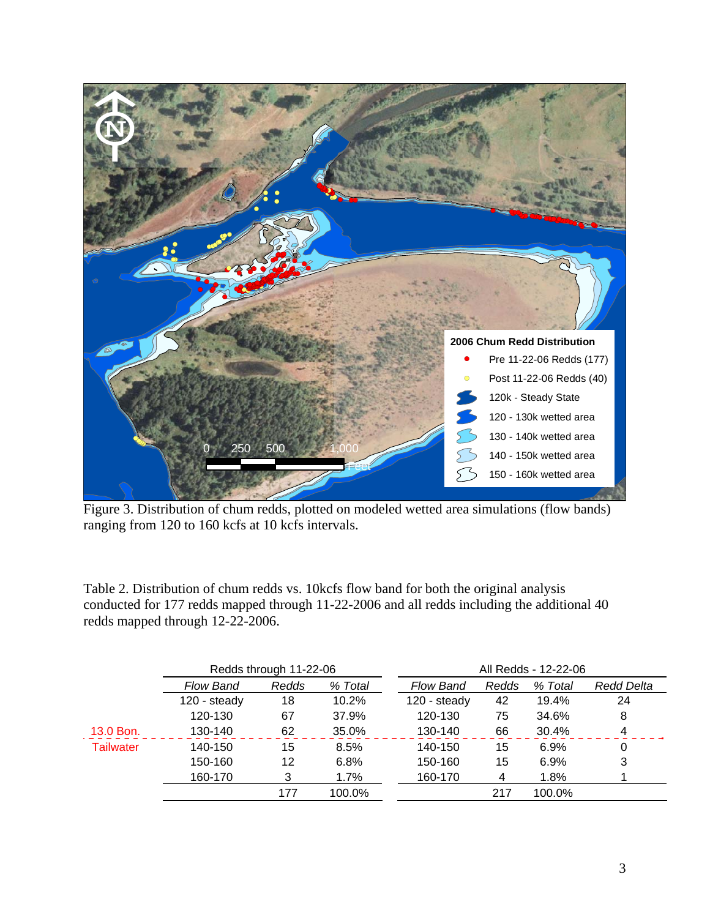

Figure 3. Distribution of chum redds, plotted on modeled wetted area simulations (flow bands) ranging from 120 to 160 kcfs at 10 kcfs intervals.

Table 2. Distribution of chum redds vs. 10kcfs flow band for both the original analysis conducted for 177 redds mapped through 11-22-2006 and all redds including the additional 40 redds mapped through 12-22-2006.

|                  | Redds through 11-22-06 |       |          | All Redds - 12-22-06 |       |         |                   |
|------------------|------------------------|-------|----------|----------------------|-------|---------|-------------------|
|                  | <b>Flow Band</b>       | Redds | % Total  | <b>Flow Band</b>     | Redds | % Total | <b>Redd Delta</b> |
|                  | 120 - steady           | 18    | $10.2\%$ | 120 - steady         | 42    | 19.4%   | 24                |
|                  | 120-130                | 67    | 37.9%    | 120-130              | 75    | 34.6%   | 8                 |
| 13.0 Bon.        | 130-140                | 62    | 35.0%    | 130-140              | 66    | 30.4%   | 4                 |
| <b>Tailwater</b> | 140-150                | 15    | 8.5%     | 140-150              | 15    | 6.9%    | 0                 |
|                  | 150-160                | 12    | 6.8%     | 150-160              | 15    | 6.9%    | 3                 |
|                  | 160-170                | 3     | 1.7%     | 160-170              | 4     | 1.8%    |                   |
|                  |                        | 177   | 100.0%   |                      | 217   | 100.0%  |                   |